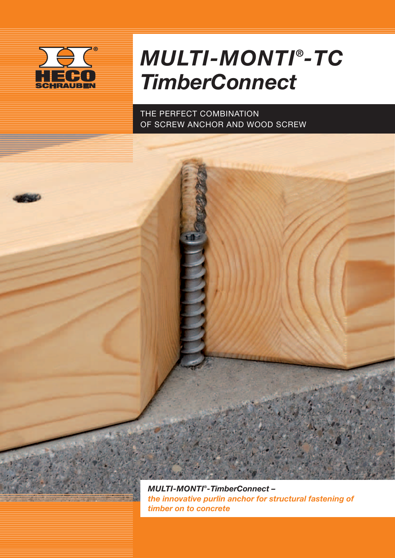

## *MULTI-MONTI® -TC TimberConnect*

The perfect combination of screw anchor and wood screw

*MULTI-MONTI® -TimberConnect – the innovative purlin anchor for structural fastening of timber on to concrete*